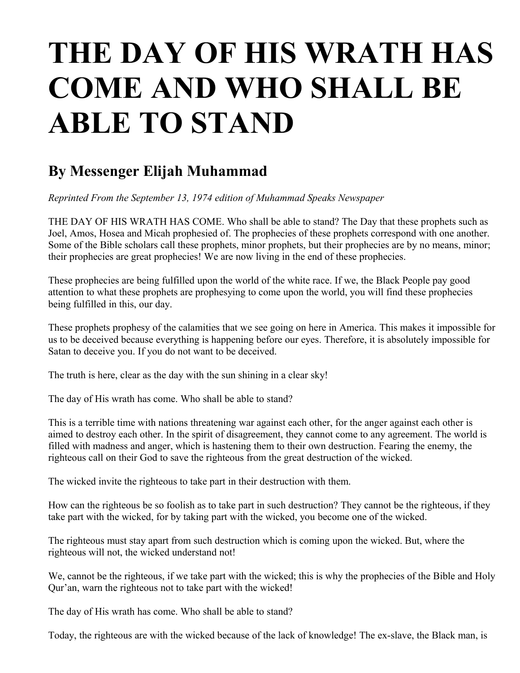## **THE DAY OF HIS WRATH HAS COME AND WHO SHALL BE ABLE TO STAND**

## **By Messenger Elijah Muhammad**

*Reprinted From the September 13, 1974 edition of Muhammad Speaks Newspaper*

THE DAY OF HIS WRATH HAS COME. Who shall be able to stand? The Day that these prophets such as Joel, Amos, Hosea and Micah prophesied of. The prophecies of these prophets correspond with one another. Some of the Bible scholars call these prophets, minor prophets, but their prophecies are by no means, minor; their prophecies are great prophecies! We are now living in the end of these prophecies.

These prophecies are being fulfilled upon the world of the white race. If we, the Black People pay good attention to what these prophets are prophesying to come upon the world, you will find these prophecies being fulfilled in this, our day.

These prophets prophesy of the calamities that we see going on here in America. This makes it impossible for us to be deceived because everything is happening before our eyes. Therefore, it is absolutely impossible for Satan to deceive you. If you do not want to be deceived.

The truth is here, clear as the day with the sun shining in a clear sky!

The day of His wrath has come. Who shall be able to stand?

This is a terrible time with nations threatening war against each other, for the anger against each other is aimed to destroy each other. In the spirit of disagreement, they cannot come to any agreement. The world is filled with madness and anger, which is hastening them to their own destruction. Fearing the enemy, the righteous call on their God to save the righteous from the great destruction of the wicked.

The wicked invite the righteous to take part in their destruction with them.

How can the righteous be so foolish as to take part in such destruction? They cannot be the righteous, if they take part with the wicked, for by taking part with the wicked, you become one of the wicked.

The righteous must stay apart from such destruction which is coming upon the wicked. But, where the righteous will not, the wicked understand not!

We, cannot be the righteous, if we take part with the wicked; this is why the prophecies of the Bible and Holy Qur'an, warn the righteous not to take part with the wicked!

The day of His wrath has come. Who shall be able to stand?

Today, the righteous are with the wicked because of the lack of knowledge! The ex-slave, the Black man, is